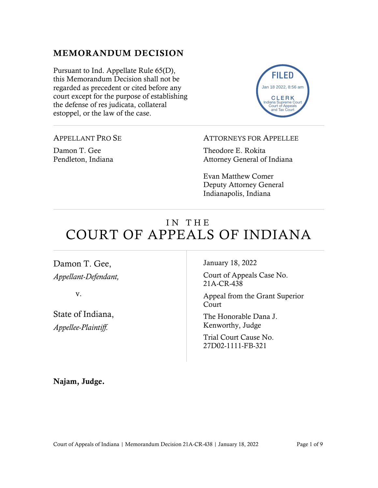### MEMORANDUM DECISION

Pursuant to Ind. Appellate Rule 65(D), this Memorandum Decision shall not be regarded as precedent or cited before any court except for the purpose of establishing the defense of res judicata, collateral estoppel, or the law of the case.



APPELLANT PRO SE

Damon T. Gee Pendleton, Indiana ATTORNEYS FOR APPELLEE

Theodore E. Rokita Attorney General of Indiana

Evan Matthew Comer Deputy Attorney General Indianapolis, Indiana

# IN THE COURT OF APPEALS OF INDIANA

Damon T. Gee, *Appellant-Defendant,*

v.

State of Indiana, *Appellee-Plaintiff.*

January 18, 2022

Court of Appeals Case No. 21A-CR-438

Appeal from the Grant Superior Court

The Honorable Dana J. Kenworthy, Judge

Trial Court Cause No. 27D02-1111-FB-321

Najam, Judge.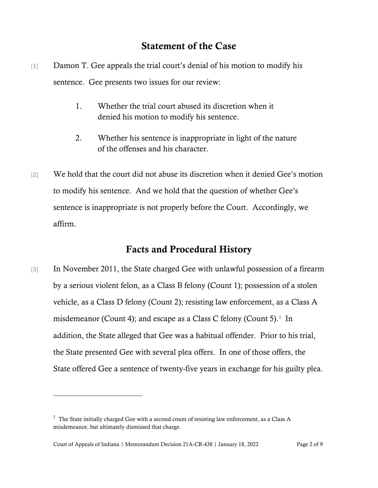### Statement of the Case

- [1] Damon T. Gee appeals the trial court's denial of his motion to modify his sentence. Gee presents two issues for our review:
	- 1. Whether the trial court abused its discretion when it denied his motion to modify his sentence.
	- 2. Whether his sentence is inappropriate in light of the nature of the offenses and his character.
- [2] We hold that the court did not abuse its discretion when it denied Gee's motion to modify his sentence. And we hold that the question of whether Gee's sentence is inappropriate is not properly before the Court. Accordingly, we affirm.

## Facts and Procedural History

[3] In November 2011, the State charged Gee with unlawful possession of a firearm by a serious violent felon, as a Class B felony (Count 1); possession of a stolen vehicle, as a Class D felony (Count 2); resisting law enforcement, as a Class A misdemeanor (Count 4); and escape as a Class C felony (Count 5).<sup>[1](#page-1-0)</sup> In addition, the State alleged that Gee was a habitual offender. Prior to his trial, the State presented Gee with several plea offers. In one of those offers, the State offered Gee a sentence of twenty-five years in exchange for his guilty plea.

<span id="page-1-0"></span> $<sup>1</sup>$  The State initially charged Gee with a second count of resisting law enforcement, as a Class A</sup> misdemeanor, but ultimately dismissed that charge.

Court of Appeals of Indiana | Memorandum Decision 21A-CR-438 | January 18, 2022 Page 2 of 9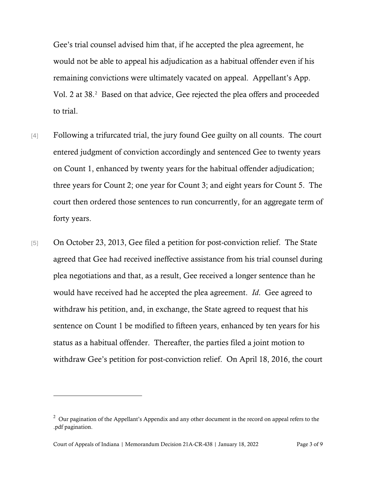Gee's trial counsel advised him that, if he accepted the plea agreement, he would not be able to appeal his adjudication as a habitual offender even if his remaining convictions were ultimately vacated on appeal. Appellant's App. Vol. [2](#page-2-0) at 38.<sup>2</sup> Based on that advice, Gee rejected the plea offers and proceeded to trial.

- [4] Following a trifurcated trial, the jury found Gee guilty on all counts. The court entered judgment of conviction accordingly and sentenced Gee to twenty years on Count 1, enhanced by twenty years for the habitual offender adjudication; three years for Count 2; one year for Count 3; and eight years for Count 5. The court then ordered those sentences to run concurrently, for an aggregate term of forty years.
- [5] On October 23, 2013, Gee filed a petition for post-conviction relief. The State agreed that Gee had received ineffective assistance from his trial counsel during plea negotiations and that, as a result, Gee received a longer sentence than he would have received had he accepted the plea agreement. *Id*. Gee agreed to withdraw his petition, and, in exchange, the State agreed to request that his sentence on Count 1 be modified to fifteen years, enhanced by ten years for his status as a habitual offender. Thereafter, the parties filed a joint motion to withdraw Gee's petition for post-conviction relief. On April 18, 2016, the court

<span id="page-2-0"></span> $2$  Our pagination of the Appellant's Appendix and any other document in the record on appeal refers to the .pdf pagination.

Court of Appeals of Indiana | Memorandum Decision 21A-CR-438 | January 18, 2022 Page 3 of 9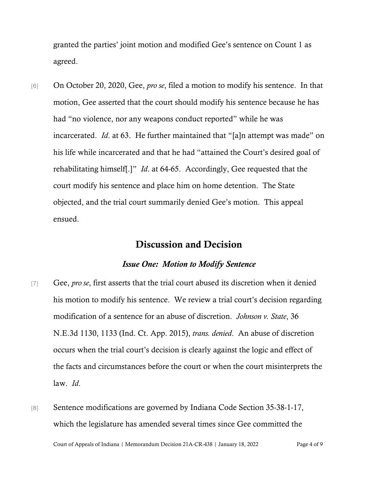granted the parties' joint motion and modified Gee's sentence on Count 1 as agreed.

[6] On October 20, 2020, Gee, *pro se*, filed a motion to modify his sentence. In that motion, Gee asserted that the court should modify his sentence because he has had "no violence, nor any weapons conduct reported" while he was incarcerated. *Id*. at 63. He further maintained that "[a]n attempt was made" on his life while incarcerated and that he had "attained the Court's desired goal of rehabilitating himself[.]" *Id*. at 64-65. Accordingly, Gee requested that the court modify his sentence and place him on home detention. The State objected, and the trial court summarily denied Gee's motion. This appeal ensued.

#### Discussion and Decision

#### *Issue One: Motion to Modify Sentence*

- [7] Gee, *pro se*, first asserts that the trial court abused its discretion when it denied his motion to modify his sentence. We review a trial court's decision regarding modification of a sentence for an abuse of discretion. *Johnson v. State*, 36 N.E.3d 1130, 1133 (Ind. Ct. App. 2015), *trans. denied*. An abuse of discretion occurs when the trial court's decision is clearly against the logic and effect of the facts and circumstances before the court or when the court misinterprets the law. *Id*.
- [8] Sentence modifications are governed by Indiana Code Section 35-38-1-17, which the legislature has amended several times since Gee committed the

Court of Appeals of Indiana | Memorandum Decision 21A-CR-438 | January 18, 2022 Page 4 of 9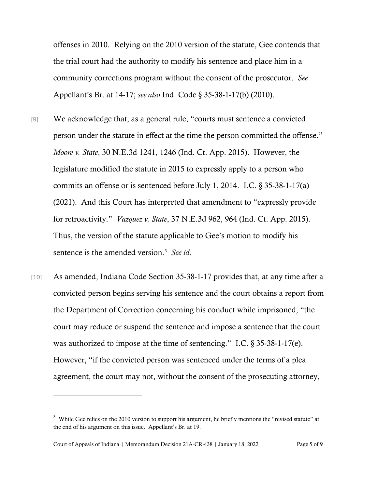offenses in 2010. Relying on the 2010 version of the statute, Gee contends that the trial court had the authority to modify his sentence and place him in a community corrections program without the consent of the prosecutor. *See* Appellant's Br. at 14-17; *see also* Ind. Code § 35-38-1-17(b) (2010).

- [9] We acknowledge that, as a general rule, "courts must sentence a convicted person under the statute in effect at the time the person committed the offense." *Moore v. State*, 30 N.E.3d 1241, 1246 (Ind. Ct. App. 2015). However, the legislature modified the statute in 2015 to expressly apply to a person who commits an offense or is sentenced before July 1, 2014. I.C. § 35-38-1-17(a) (2021). And this Court has interpreted that amendment to "expressly provide for retroactivity." *Vazquez v. State*, 37 N.E.3d 962, 964 (Ind. Ct. App. 2015). Thus, the version of the statute applicable to Gee's motion to modify his sentence is the amended version.[3](#page-4-0) *See id*.
- [10] As amended, Indiana Code Section 35-38-1-17 provides that, at any time after a convicted person begins serving his sentence and the court obtains a report from the Department of Correction concerning his conduct while imprisoned, "the court may reduce or suspend the sentence and impose a sentence that the court was authorized to impose at the time of sentencing." I.C. § 35-38-1-17(e). However, "if the convicted person was sentenced under the terms of a plea agreement, the court may not, without the consent of the prosecuting attorney,

<span id="page-4-0"></span> $3$  While Gee relies on the 2010 version to support his argument, he briefly mentions the "revised statute" at the end of his argument on this issue. Appellant's Br. at 19.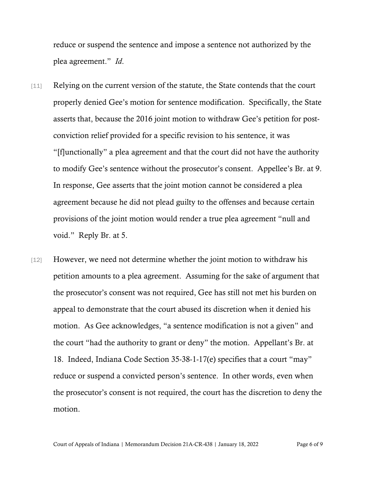reduce or suspend the sentence and impose a sentence not authorized by the plea agreement." *Id*.

- [11] Relying on the current version of the statute, the State contends that the court properly denied Gee's motion for sentence modification. Specifically, the State asserts that, because the 2016 joint motion to withdraw Gee's petition for postconviction relief provided for a specific revision to his sentence, it was "[f]unctionally" a plea agreement and that the court did not have the authority to modify Gee's sentence without the prosecutor's consent. Appellee's Br. at 9. In response, Gee asserts that the joint motion cannot be considered a plea agreement because he did not plead guilty to the offenses and because certain provisions of the joint motion would render a true plea agreement "null and void." Reply Br. at 5.
- [12] However, we need not determine whether the joint motion to withdraw his petition amounts to a plea agreement. Assuming for the sake of argument that the prosecutor's consent was not required, Gee has still not met his burden on appeal to demonstrate that the court abused its discretion when it denied his motion. As Gee acknowledges, "a sentence modification is not a given" and the court "had the authority to grant or deny" the motion. Appellant's Br. at 18. Indeed, Indiana Code Section 35-38-1-17(e) specifies that a court "may" reduce or suspend a convicted person's sentence. In other words, even when the prosecutor's consent is not required, the court has the discretion to deny the motion.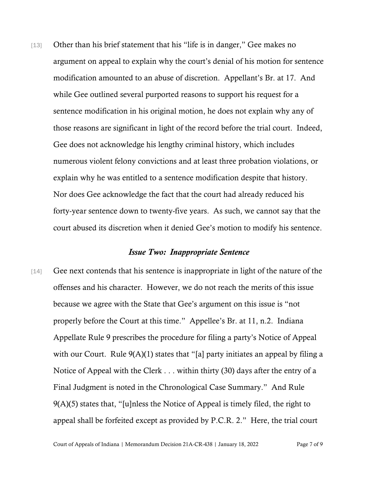[13] Other than his brief statement that his "life is in danger," Gee makes no argument on appeal to explain why the court's denial of his motion for sentence modification amounted to an abuse of discretion. Appellant's Br. at 17. And while Gee outlined several purported reasons to support his request for a sentence modification in his original motion, he does not explain why any of those reasons are significant in light of the record before the trial court. Indeed, Gee does not acknowledge his lengthy criminal history, which includes numerous violent felony convictions and at least three probation violations, or explain why he was entitled to a sentence modification despite that history. Nor does Gee acknowledge the fact that the court had already reduced his forty-year sentence down to twenty-five years. As such, we cannot say that the court abused its discretion when it denied Gee's motion to modify his sentence.

#### *Issue Two: Inappropriate Sentence*

[14] Gee next contends that his sentence is inappropriate in light of the nature of the offenses and his character. However, we do not reach the merits of this issue because we agree with the State that Gee's argument on this issue is "not properly before the Court at this time." Appellee's Br. at 11, n.2. Indiana Appellate Rule 9 prescribes the procedure for filing a party's Notice of Appeal with our Court. Rule  $9(A)(1)$  states that "[a] party initiates an appeal by filing a Notice of Appeal with the Clerk . . . within thirty (30) days after the entry of a Final Judgment is noted in the Chronological Case Summary." And Rule 9(A)(5) states that, "[u]nless the Notice of Appeal is timely filed, the right to appeal shall be forfeited except as provided by P.C.R. 2." Here, the trial court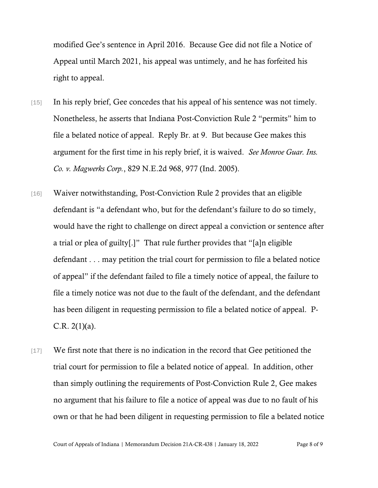modified Gee's sentence in April 2016. Because Gee did not file a Notice of Appeal until March 2021, his appeal was untimely, and he has forfeited his right to appeal.

- [15] In his reply brief, Gee concedes that his appeal of his sentence was not timely. Nonetheless, he asserts that Indiana Post-Conviction Rule 2 "permits" him to file a belated notice of appeal. Reply Br. at 9. But because Gee makes this argument for the first time in his reply brief, it is waived. *See Monroe Guar. Ins. Co. v. Magwerks Corp.*, 829 N.E.2d 968, 977 (Ind. 2005).
- [16] Waiver notwithstanding, Post-Conviction Rule 2 provides that an eligible defendant is "a defendant who, but for the defendant's failure to do so timely, would have the right to challenge on direct appeal a conviction or sentence after a trial or plea of guilty[.]" That rule further provides that "[a]n eligible defendant . . . may petition the trial court for permission to file a belated notice of appeal" if the defendant failed to file a timely notice of appeal, the failure to file a timely notice was not due to the fault of the defendant, and the defendant has been diligent in requesting permission to file a belated notice of appeal. P- $C.R. 2(1)(a)$ .
- [17] We first note that there is no indication in the record that Gee petitioned the trial court for permission to file a belated notice of appeal. In addition, other than simply outlining the requirements of Post-Conviction Rule 2, Gee makes no argument that his failure to file a notice of appeal was due to no fault of his own or that he had been diligent in requesting permission to file a belated notice